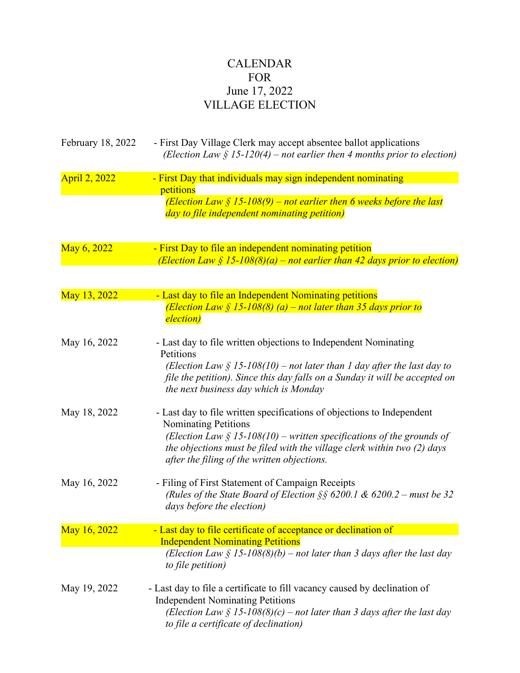## CALENDAR FOR June 17, 2022 VILLAGE ELECTION

| February 18, 2022 | - First Day Village Clerk may accept absentee ballot applications<br>(Election Law $\S$ 15-120(4) – not earlier then 4 months prior to election)                                                                                                                                                            |
|-------------------|-------------------------------------------------------------------------------------------------------------------------------------------------------------------------------------------------------------------------------------------------------------------------------------------------------------|
| April 2, 2022     | - First Day that individuals may sign independent nominating<br>petitions<br>(Election Law $\frac{1}{5}$ 15-108(9) – not earlier then 6 weeks before the last<br>day to file independent nominating petition)                                                                                               |
| May 6, 2022       | - First Day to file an independent nominating petition<br>(Election Law $\S$ 15-108(8)(a) – not earlier than 42 days prior to election)                                                                                                                                                                     |
| May 13, 2022      | - Last day to file an Independent Nominating petitions<br>(Election Law $\zeta$ 15-108(8) (a) – not later than 35 days prior to<br>election)                                                                                                                                                                |
| May 16, 2022      | - Last day to file written objections to Independent Nominating<br>Petitions<br>(Election Law $\S$ 15-108(10) – not later than 1 day after the last day to<br>file the petition). Since this day falls on a Sunday it will be accepted on<br>the next business day which is Monday                          |
| May 18, 2022      | - Last day to file written specifications of objections to Independent<br><b>Nominating Petitions</b><br>(Election Law $\S$ 15-108(10) – written specifications of the grounds of<br>the objections must be filed with the village clerk within two (2) days<br>after the filing of the written objections. |
| May 16, 2022      | - Filing of First Statement of Campaign Receipts<br>(Rules of the State Board of Election §§ 6200.1 & 6200.2 – must be 32<br>days before the election)                                                                                                                                                      |
| May 16, 2022      | - Last day to file certificate of acceptance or declination of                                                                                                                                                                                                                                              |
|                   | <b>Independent Nominating Petitions</b><br>(Election Law $\S$ 15-108(8)(b) – not later than 3 days after the last day<br>to file petition)                                                                                                                                                                  |
| May 19, 2022      | - Last day to file a certificate to fill vacancy caused by declination of<br><b>Independent Nominating Petitions</b><br>(Election Law $\S$ 15-108(8)(c) – not later than 3 days after the last day<br>to file a certificate of declination)                                                                 |